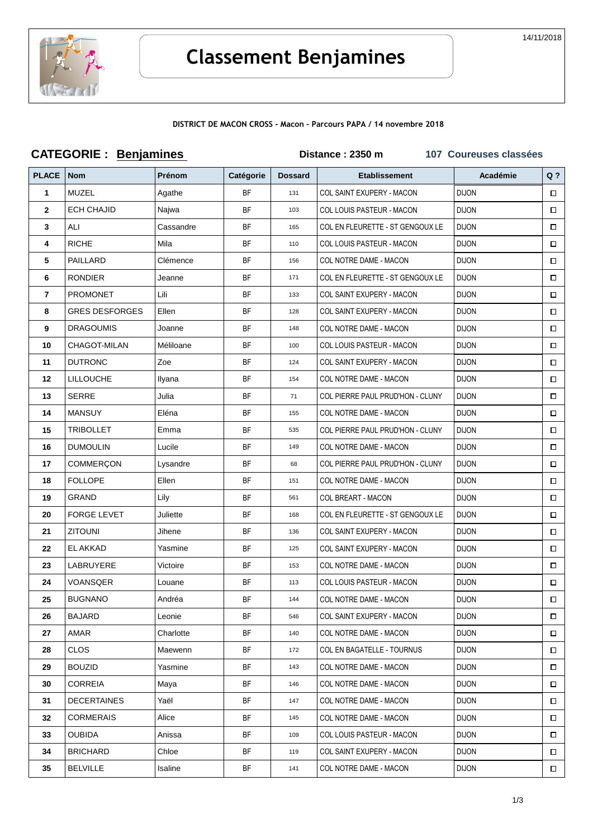

### DISTRICT DE MACON CROSS - Macon - Parcours PAPA / 14 novembre 2018

|                | <b>CATEGORIE: Benjamines</b> |               |           |                | Distance: 2350 m                 | 107 Coureuses classées |        |
|----------------|------------------------------|---------------|-----------|----------------|----------------------------------|------------------------|--------|
| <b>PLACE</b>   | <b>Nom</b>                   | <b>Prénom</b> | Catégorie | <b>Dossard</b> | <b>Etablissement</b>             | Académie               | $Q$ ?  |
| $\mathbf{1}$   | MUZEL                        | Agathe        | <b>BF</b> | 131            | COL SAINT EXUPERY - MACON        | <b>DIJON</b>           | □      |
| $\mathbf{2}$   | <b>ECH CHAJID</b>            | Najwa         | BF        | 103            | <b>COL LOUIS PASTEUR - MACON</b> | <b>DIJON</b>           | $\Box$ |
| $\mathbf{3}$   | ALI                          | Cassandre     | <b>BF</b> | 165            | COL EN FLEURETTE - ST GENGOUX LE | <b>DIJON</b>           | □      |
| 4              | <b>RICHE</b>                 | Mila          | <b>BF</b> | 110            | COL LOUIS PASTEUR - MACON        | <b>DIJON</b>           | □      |
| 5              | <b>PAILLARD</b>              | Clémence      | <b>BF</b> | 156            | COL NOTRE DAME - MACON           | <b>DIJON</b>           | □      |
| 6              | <b>RONDIER</b>               | Jeanne        | <b>BF</b> | 171            | COL EN FLEURETTE - ST GENGOUX LE | <b>DIJON</b>           | □      |
| $\overline{7}$ | <b>PROMONET</b>              | Lili          | BF        | 133            | COL SAINT EXUPERY - MACON        | <b>DIJON</b>           | □      |
| 8              | <b>GRES DESFORGES</b>        | Ellen         | <b>BF</b> | 128            | COL SAINT EXUPERY - MACON        | <b>DIJON</b>           | $\Box$ |
| 9              | <b>DRAGOUMIS</b>             | Joanne        | <b>BF</b> | 148            | COL NOTRE DAME - MACON           | <b>DIJON</b>           | $\Box$ |
| 10             | CHAGOT-MILAN                 | Méliloane     | <b>BF</b> | 100            | <b>COL LOUIS PASTEUR - MACON</b> | <b>DIJON</b>           | $\Box$ |
| 11             | <b>DUTRONC</b>               | Zoe           | <b>BF</b> | 124            | COL SAINT EXUPERY - MACON        | <b>DIJON</b>           | □      |
| 12             | <b>LILLOUCHE</b>             | Ilyana        | BF        | 154            | COL NOTRE DAME - MACON           | <b>DIJON</b>           | □      |
| 13             | <b>SERRE</b>                 | Julia         | BF        | 71             | COL PIERRE PAUL PRUD'HON - CLUNY | <b>DIJON</b>           | $\Box$ |
| 14             | <b>MANSUY</b>                | Eléna         | <b>BF</b> | 155            | COL NOTRE DAME - MACON           | <b>DIJON</b>           | □      |
| 15             | <b>TRIBOLLET</b>             | Emma          | BF        | 535            | COL PIERRE PAUL PRUD'HON - CLUNY | <b>DIJON</b>           | 0      |
| 16             | <b>DUMOULIN</b>              | Lucile        | <b>BF</b> | 149            | COL NOTRE DAME - MACON           | <b>DIJON</b>           | $\Box$ |
| 17             | COMMERÇON                    | Lysandre      | <b>BF</b> | 68             | COL PIERRE PAUL PRUD'HON - CLUNY | <b>DIJON</b>           | □      |
| 18             | <b>FOLLOPE</b>               | Ellen         | BF        | 151            | COL NOTRE DAME - MACON           | <b>DIJON</b>           | $\Box$ |
| 19             | GRAND                        | Lily          | BF        | 561            | <b>COL BREART - MACON</b>        | <b>DIJON</b>           | $\Box$ |
| 20             | <b>FORGE LEVET</b>           | Juliette      | BF        | 168            | COL EN FLEURETTE - ST GENGOUX LE | <b>DIJON</b>           | □      |
| 21             | <b>ZITOUNI</b>               | Jihene        | BF        | 136            | COL SAINT EXUPERY - MACON        | <b>DIJON</b>           | $\Box$ |
| 22             | EL AKKAD                     | Yasmine       | <b>BF</b> | 125            | COL SAINT EXUPERY - MACON        | <b>DIJON</b>           | $\Box$ |
| 23             | LABRUYERE                    | Victoire      | <b>BF</b> | 153            | COL NOTRE DAME - MACON           | <b>DIJON</b>           | □      |
| 24             | VOANSQER                     | Louane        | BF        | 113            | <b>COL LOUIS PASTEUR - MACON</b> | DIJON                  | $\Box$ |
| 25             | <b>BUGNANO</b>               | Andréa        | ΒF        | 144            | COL NOTRE DAME - MACON           | <b>DIJON</b>           | □      |
| 26             | <b>BAJARD</b>                | Leonie        | <b>BF</b> | 546            | COL SAINT EXUPERY - MACON        | <b>DIJON</b>           | □      |
| 27             | AMAR                         | Charlotte     | BF        | 140            | COL NOTRE DAME - MACON           | <b>DIJON</b>           | $\Box$ |
| 28             | <b>CLOS</b>                  | Maewenn       | BF        | 172            | COL EN BAGATELLE - TOURNUS       | <b>DIJON</b>           | □      |
| 29             | <b>BOUZID</b>                | Yasmine       | <b>BF</b> | 143            | COL NOTRE DAME - MACON           | <b>DIJON</b>           | □      |
| 30             | <b>CORREIA</b>               | Maya          | BF        | 146            | COL NOTRE DAME - MACON           | DIJON                  | $\Box$ |
| 31             | <b>DECERTAINES</b>           | Yaël          | BF        | 147            | COL NOTRE DAME - MACON           | <b>DIJON</b>           | □      |
| 32             | <b>CORMERAIS</b>             | Alice         | BF        | 145            | COL NOTRE DAME - MACON           | <b>DIJON</b>           | □      |
| 33             | <b>OUBIDA</b>                | Anissa        | BF        | 109            | COL LOUIS PASTEUR - MACON        | <b>DIJON</b>           | □      |
| 34             | <b>BRICHARD</b>              | Chloe         | BF        | 119            | COL SAINT EXUPERY - MACON        | <b>DIJON</b>           | □      |
| 35             | <b>BELVILLE</b>              | Isaline       | BF        | 141            | COL NOTRE DAME - MACON           | <b>DIJON</b>           | $\Box$ |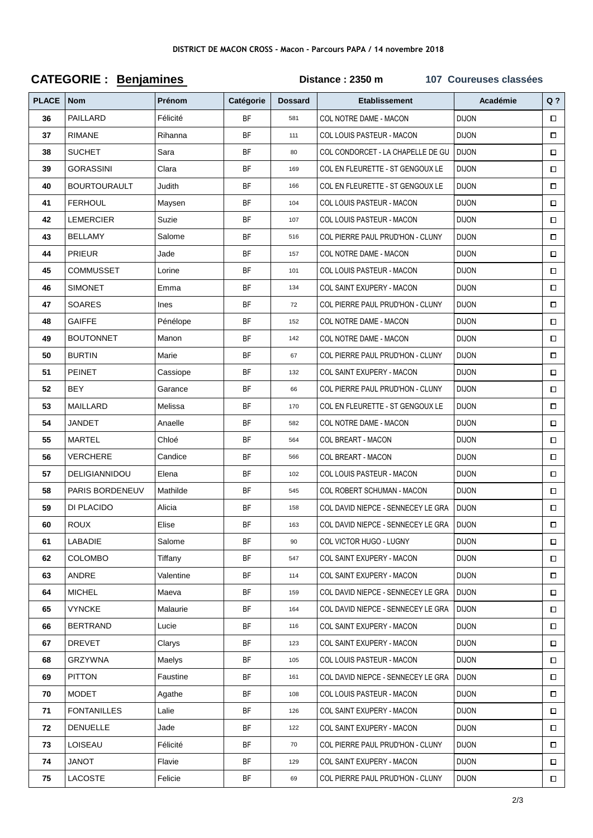### DISTRICT DE MACON CROSS - Macon - Parcours PAPA / 14 novembre 2018

### **CATEGORIE: Benjamines** Distance: 2350 m 107 Coureuses classées **PLACE Nom** Académie  $Q<sub>2</sub>$ Prénom Catégorie **Dossard Ftablissement** PAILLARD Félicité COL NOTRE DAME - MACON וחחו וח  $36$ **RF**  $\Box$ 581  $37$ **RIMANE** Rihanna **BF** COL LOUIS PASTEUR - MACON **DIJON**  $\Box$  $111$ 38 SUCHET Sara **RF** COL CONDORCET - LA CHAPELLE DE GU **DI ION**  $\Box$  $80$ GORASSINI Clara COL EN FLEURETTE - ST GENGOUX LE  $\Box$ 39 **BF** 169 **DIJON BOURTOURAULT Judith** COL EN ELEURETTE - ST GENGOLIX LE וחרו וח  $\overline{A}$ **RE** 166  $\Box$ **FFRHOUL**  $41$ Maysen **BF** 104 COL LOUIS PASTEUR - MACON DI.ION  $\Box$ 42 **LEMERCIER** Suzie **BF** 107 COL LOUIS PASTEUR - MACON **DIJON**  $\Box$ **BELLAMY**  $\overline{43}$ Salome **RF** 516 COL PIERRE PAUL PRUD'HON - CLUNY **DIJON**  $\Box$ 44 **PRIFUR** Jade **RF** 157 COL NOTRE DAME - MACON **DIJON**  $\Box$ 45 **COMMUSSET** I orine **BF** 101 COL LOUIS PASTEUR - MACON **DIJON**  $\Box$ 46 **SIMONET** Emma **BF** COL SAINT EXUPERY - MACON **DIJON** 134  $\Box$ COL PIERRE PAUL PRUD'HON - CLUNY **SOARES** 47 Ines **BF**  $72$ **DIJON**  $\Box$ 48 **GAIFFE BF** 152 COL NOTRE DAME - MACON **DIJON**  $\Box$ Pénélope **BOUTONNET** 49 Manon **BF** 142 COL NOTRE DAME - MACON **DIJON**  $\Box$ 50 **BURTIN** Marie **RF** 67 COL PIERRE PAUL PRUD'HON - CLUNY **DIJON**  $\Box$ 51 **PEINET** Cassiope **BF** 132 COL SAINT FXUPFRY - MACON **DIJON**  $\Box$ **BFY** 52 Garance COL PIERRE PAUL PRUD'HON - CLUNY **DIJON**  $\Box$ **BF** 66 53 **MAILLARD** Melissa **RF** 170 COL EN FLEURETTE - ST GENGOUX LE DI.ION  $\Box$  $54$ **JANDET**  $\Box$ **RF** 582 COL NOTRE DAME - MACON **DI ION** Anaelle 55 **MARTEL** Chloé **BF** 564 COL BREART - MACON **DIJON**  $\Box$ **VERCHERE** 56 **RE** COL BREART - MACON וחרו וח Candice 566  $\Box$ **DELIGIANNIDOU** 57 Elena **BF**  $102$ COL LOUIS PASTEUR - MACON DI.ION  $\Box$ PARIS RORDENELIV Mathilde 58 **BF** 545 COL ROBERT SCHUMAN - MACON **DIJON**  $\Box$ DI PI ACIDO COL DAVID NIEPCE - SENNECEY LE GRA 59 Alicia **RF** 158 **DIJON**  $\Box$ 60 **ROUX** Elise **BF** 163 COL DAVID NIEPCE - SENNECEY LE GRA **DIJON**  $\Box$ LABADIE **BF COL VICTOR HUGO - LUGNY DIJON**  $\Box$ 61 Salome 90 62 COLOMBO Tiffany **BF** 547 **COL SAINT EXUPERY - MACON DIJON**  $\Box$ ANDRE Valentine COL SAINT EXUPERY - MACON **DIJON** 63 **RF**  $114$  $\Box$ 64 **MICHEL** Maeva **BF** 159 COL DAVID NIEPCE - SENNECEY LE GRA **DIJON**  $\Box$ **VYNCKE** Malaurie COL DAVID NIEPCE - SENNECEY LE GRA 65 **BF** 164 **DIJON**  $\Box$ 66 **BERTRAND** Lucie **RF** 116 COL SAINT EXUPERY - MACON **DIJON**  $\Box$ **DREVET** Clarys COL SAINT EXUPERY - MACON **DIJON BF** 123  $\Box$ 67 68 GRZYWNA Maelvs **BF** COL LOUIS PASTEUR - MACON **DIJON**  $\Box$ 105 **PITTON** COL DAVID NIEPCE - SENNECEY LE GRA **DIJON** 69 Faustine **BF** 161  $\Box$ **MODET** COL LOUIS PASTEUR - MACON **DIJON**  $\Box$ 70 **RF** 108 Agathe **FONTANILLES** l alie COL SAINT FXUPFRY - MACON **DIJON**  $71$ **BF** 126  $\Box$ **DENUELLE** COL SAINT FXUPFRY - MACON ועטו וט  $72$ ahel. **RE**  $122$  $\Box$ **LOISEAU DIJON** 73 Félicité **BF**  $70$ COL PIERRE PAUL PRUD'HON - CLUNY  $\Box$ **JANOT** Flavie 74 **BF** 129 COL SAINT EXUPERY - MACON **DIJON**  $\Box$ 75 **LACOSTE RE** COL PIERRE PAUL PRUD'HON - CLUNY **DIJON** Felicie **GQ**  $\Box$